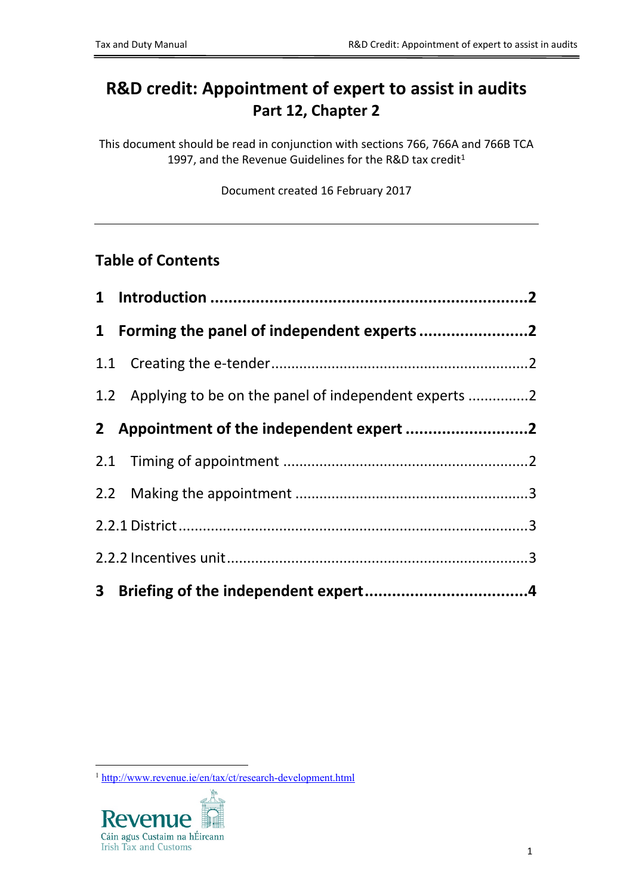# **R&D credit: Appointment of expert to assist in audits Part 12, Chapter 2**

This document should be read in conjunction with sections 766, 766A and 766B TCA 1997, and the Revenue Guidelines for the R&D tax credit<sup>1</sup>

Document created 16 February 2017

# **Table of Contents**

| 1 Forming the panel of independent experts 2             |  |
|----------------------------------------------------------|--|
|                                                          |  |
| 1.2 Applying to be on the panel of independent experts 2 |  |
|                                                          |  |
|                                                          |  |
|                                                          |  |
|                                                          |  |
|                                                          |  |
|                                                          |  |

<sup>1</sup> <http://www.revenue.ie/en/tax/ct/research-development.html>

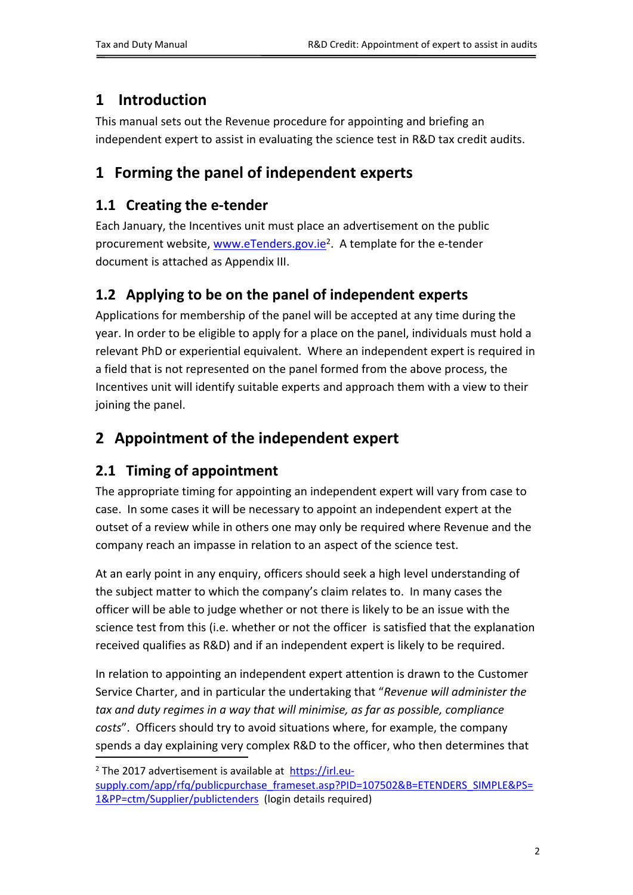# <span id="page-1-0"></span>**1 Introduction**

This manual sets out the Revenue procedure for appointing and briefing an independent expert to assist in evaluating the science test in R&D tax credit audits.

# <span id="page-1-1"></span>**1 Forming the panel of independent experts**

# <span id="page-1-2"></span>**1.1 Creating the e-tender**

Each January, the Incentives unit must place an advertisement on the public procurement website, [www.eTenders.gov.ie](http://www.eTenders.gov.ie)<sup>2</sup>. A template for the e-tender document is attached as Appendix III.

# <span id="page-1-3"></span>**1.2 Applying to be on the panel of independent experts**

Applications for membership of the panel will be accepted at any time during the year. In order to be eligible to apply for a place on the panel, individuals must hold a relevant PhD or experiential equivalent. Where an independent expert is required in a field that is not represented on the panel formed from the above process, the Incentives unit will identify suitable experts and approach them with a view to their joining the panel.

# <span id="page-1-4"></span>**2 Appointment of the independent expert**

# <span id="page-1-5"></span>**2.1 Timing of appointment**

The appropriate timing for appointing an independent expert will vary from case to case. In some cases it will be necessary to appoint an independent expert at the outset of a review while in others one may only be required where Revenue and the company reach an impasse in relation to an aspect of the science test.

At an early point in any enquiry, officers should seek a high level understanding of the subject matter to which the company's claim relates to. In many cases the officer will be able to judge whether or not there is likely to be an issue with the science test from this (i.e. whether or not the officer is satisfied that the explanation received qualifies as R&D) and if an independent expert is likely to be required.

In relation to appointing an independent expert attention is drawn to the Customer Service Charter, and in particular the undertaking that "*Revenue will administer the tax and duty regimes in a way that will minimise, as far as possible, compliance costs*". Officers should try to avoid situations where, for example, the company spends a day explaining very complex R&D to the officer, who then determines that

<sup>&</sup>lt;sup>2</sup> The 2017 advertisement is available at [https://irl.eu-](https://irl.eu-supply.com/app/rfq/publicpurchase_frameset.asp?PID=107502&B=ETENDERS_SIMPLE&PS=1&PP=ctm/Supplier/publictenders)

[supply.com/app/rfq/publicpurchase\\_frameset.asp?PID=107502&B=ETENDERS\\_SIMPLE&PS=](https://irl.eu-supply.com/app/rfq/publicpurchase_frameset.asp?PID=107502&B=ETENDERS_SIMPLE&PS=1&PP=ctm/Supplier/publictenders) [1&PP=ctm/Supplier/publictenders](https://irl.eu-supply.com/app/rfq/publicpurchase_frameset.asp?PID=107502&B=ETENDERS_SIMPLE&PS=1&PP=ctm/Supplier/publictenders) (login details required)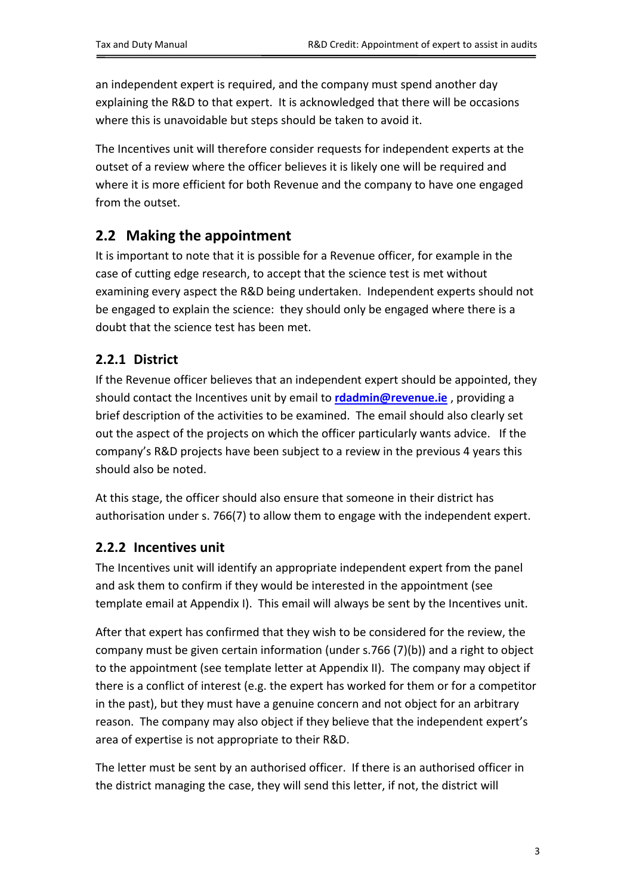an independent expert is required, and the company must spend another day explaining the R&D to that expert. It is acknowledged that there will be occasions where this is unavoidable but steps should be taken to avoid it.

The Incentives unit will therefore consider requests for independent experts at the outset of a review where the officer believes it is likely one will be required and where it is more efficient for both Revenue and the company to have one engaged from the outset.

## <span id="page-2-0"></span>**2.2 Making the appointment**

It is important to note that it is possible for a Revenue officer, for example in the case of cutting edge research, to accept that the science test is met without examining every aspect the R&D being undertaken. Independent experts should not be engaged to explain the science: they should only be engaged where there is a doubt that the science test has been met.

### <span id="page-2-1"></span>**2.2.1 District**

If the Revenue officer believes that an independent expert should be appointed, they should contact the Incentives unit by email to **[rdadmin@revenue.ie](mailto:rdadmin@revenue.ie)** , providing a brief description of the activities to be examined. The email should also clearly set out the aspect of the projects on which the officer particularly wants advice. If the company's R&D projects have been subject to a review in the previous 4 years this should also be noted.

At this stage, the officer should also ensure that someone in their district has authorisation under s. 766(7) to allow them to engage with the independent expert.

#### <span id="page-2-2"></span>**2.2.2 Incentives unit**

The Incentives unit will identify an appropriate independent expert from the panel and ask them to confirm if they would be interested in the appointment (see template email at Appendix I). This email will always be sent by the Incentives unit.

After that expert has confirmed that they wish to be considered for the review, the company must be given certain information (under s.766 (7)(b)) and a right to object to the appointment (see template letter at Appendix II). The company may object if there is a conflict of interest (e.g. the expert has worked for them or for a competitor in the past), but they must have a genuine concern and not object for an arbitrary reason. The company may also object if they believe that the independent expert's area of expertise is not appropriate to their R&D.

The letter must be sent by an authorised officer. If there is an authorised officer in the district managing the case, they will send this letter, if not, the district will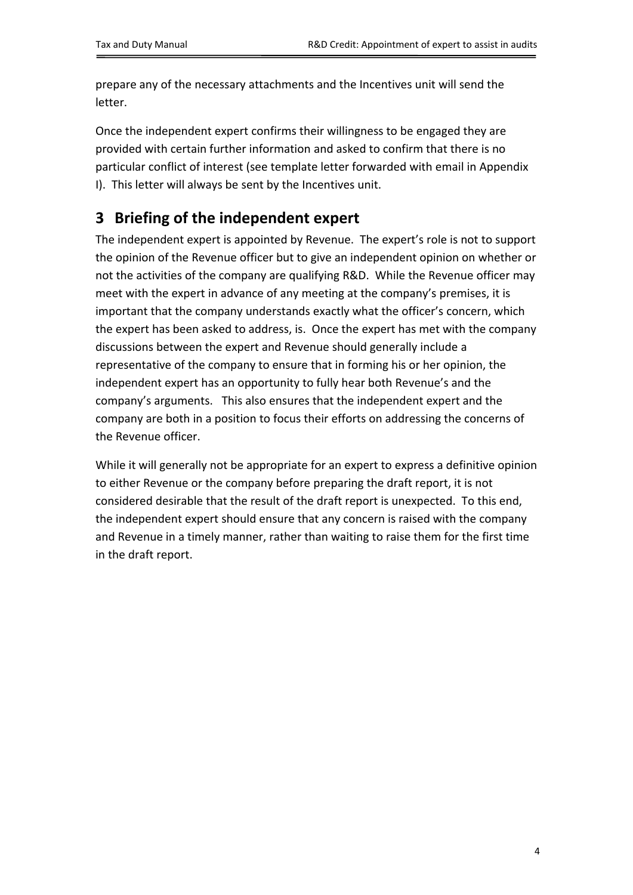prepare any of the necessary attachments and the Incentives unit will send the letter.

Once the independent expert confirms their willingness to be engaged they are provided with certain further information and asked to confirm that there is no particular conflict of interest (see template letter forwarded with email in Appendix I). This letter will always be sent by the Incentives unit.

# <span id="page-3-0"></span>**3 Briefing of the independent expert**

The independent expert is appointed by Revenue. The expert's role is not to support the opinion of the Revenue officer but to give an independent opinion on whether or not the activities of the company are qualifying R&D. While the Revenue officer may meet with the expert in advance of any meeting at the company's premises, it is important that the company understands exactly what the officer's concern, which the expert has been asked to address, is. Once the expert has met with the company discussions between the expert and Revenue should generally include a representative of the company to ensure that in forming his or her opinion, the independent expert has an opportunity to fully hear both Revenue's and the company's arguments. This also ensures that the independent expert and the company are both in a position to focus their efforts on addressing the concerns of the Revenue officer.

While it will generally not be appropriate for an expert to express a definitive opinion to either Revenue or the company before preparing the draft report, it is not considered desirable that the result of the draft report is unexpected. To this end, the independent expert should ensure that any concern is raised with the company and Revenue in a timely manner, rather than waiting to raise them for the first time in the draft report.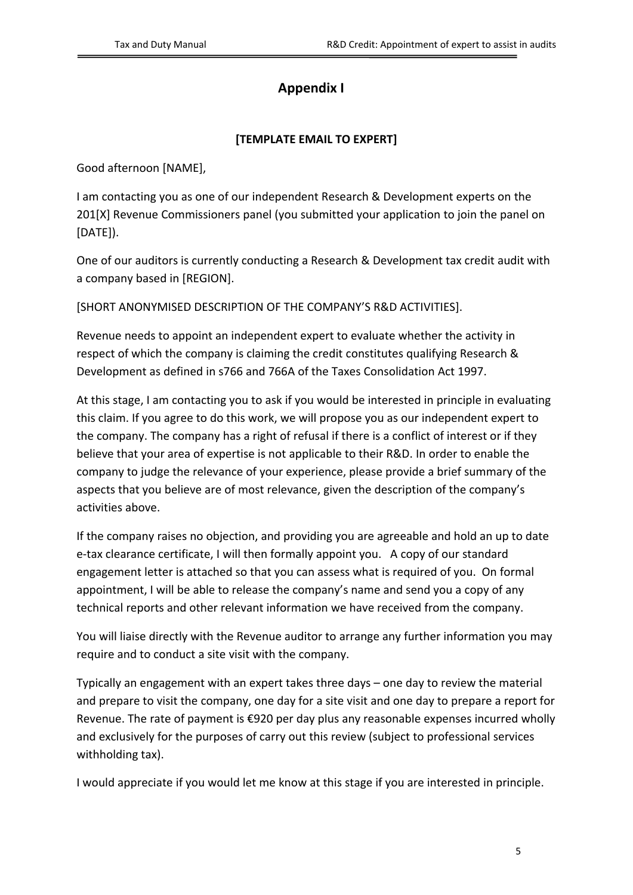### **Appendix I**

#### **[TEMPLATE EMAIL TO EXPERT]**

Good afternoon [NAME],

I am contacting you as one of our independent Research & Development experts on the 201[X] Revenue Commissioners panel (you submitted your application to join the panel on [DATE]).

One of our auditors is currently conducting a Research & Development tax credit audit with a company based in [REGION].

[SHORT ANONYMISED DESCRIPTION OF THE COMPANY'S R&D ACTIVITIES].

Revenue needs to appoint an independent expert to evaluate whether the activity in respect of which the company is claiming the credit constitutes qualifying Research & Development as defined in s766 and 766A of the Taxes Consolidation Act 1997.

At this stage, I am contacting you to ask if you would be interested in principle in evaluating this claim. If you agree to do this work, we will propose you as our independent expert to the company. The company has a right of refusal if there is a conflict of interest or if they believe that your area of expertise is not applicable to their R&D. In order to enable the company to judge the relevance of your experience, please provide a brief summary of the aspects that you believe are of most relevance, given the description of the company's activities above.

If the company raises no objection, and providing you are agreeable and hold an up to date e-tax clearance certificate, I will then formally appoint you. A copy of our standard engagement letter is attached so that you can assess what is required of you. On formal appointment, I will be able to release the company's name and send you a copy of any technical reports and other relevant information we have received from the company.

You will liaise directly with the Revenue auditor to arrange any further information you may require and to conduct a site visit with the company.

Typically an engagement with an expert takes three days – one day to review the material and prepare to visit the company, one day for a site visit and one day to prepare a report for Revenue. The rate of payment is €920 per day plus any reasonable expenses incurred wholly and exclusively for the purposes of carry out this review (subject to professional services withholding tax).

I would appreciate if you would let me know at this stage if you are interested in principle.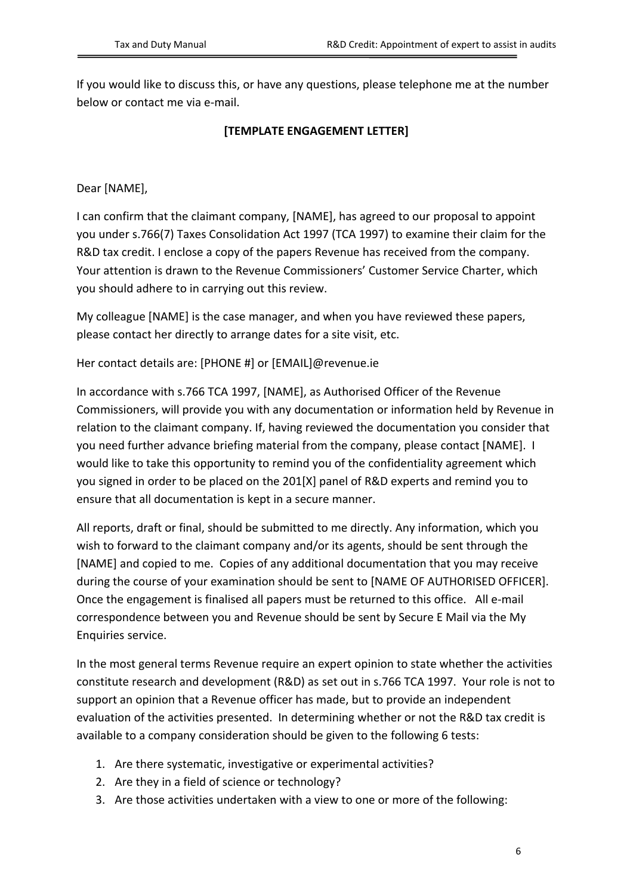If you would like to discuss this, or have any questions, please telephone me at the number below or contact me via e-mail.

#### **[TEMPLATE ENGAGEMENT LETTER]**

Dear [NAME],

I can confirm that the claimant company, [NAME], has agreed to our proposal to appoint you under s.766(7) Taxes Consolidation Act 1997 (TCA 1997) to examine their claim for the R&D tax credit. I enclose a copy of the papers Revenue has received from the company. Your attention is drawn to the Revenue Commissioners' Customer Service Charter, which you should adhere to in carrying out this review.

My colleague [NAME] is the case manager, and when you have reviewed these papers, please contact her directly to arrange dates for a site visit, etc.

Her contact details are: [PHONE #] or [EMAIL]@revenue.ie

In accordance with s.766 TCA 1997, [NAME], as Authorised Officer of the Revenue Commissioners, will provide you with any documentation or information held by Revenue in relation to the claimant company. If, having reviewed the documentation you consider that you need further advance briefing material from the company, please contact [NAME]. I would like to take this opportunity to remind you of the confidentiality agreement which you signed in order to be placed on the 201[X] panel of R&D experts and remind you to ensure that all documentation is kept in a secure manner.

All reports, draft or final, should be submitted to me directly. Any information, which you wish to forward to the claimant company and/or its agents, should be sent through the [NAME] and copied to me. Copies of any additional documentation that you may receive during the course of your examination should be sent to [NAME OF AUTHORISED OFFICER]. Once the engagement is finalised all papers must be returned to this office. All e-mail correspondence between you and Revenue should be sent by Secure E Mail via the My Enquiries service.

In the most general terms Revenue require an expert opinion to state whether the activities constitute research and development (R&D) as set out in s.766 TCA 1997. Your role is not to support an opinion that a Revenue officer has made, but to provide an independent evaluation of the activities presented. In determining whether or not the R&D tax credit is available to a company consideration should be given to the following 6 tests:

- 1. Are there systematic, investigative or experimental activities?
- 2. Are they in a field of science or technology?
- 3. Are those activities undertaken with a view to one or more of the following: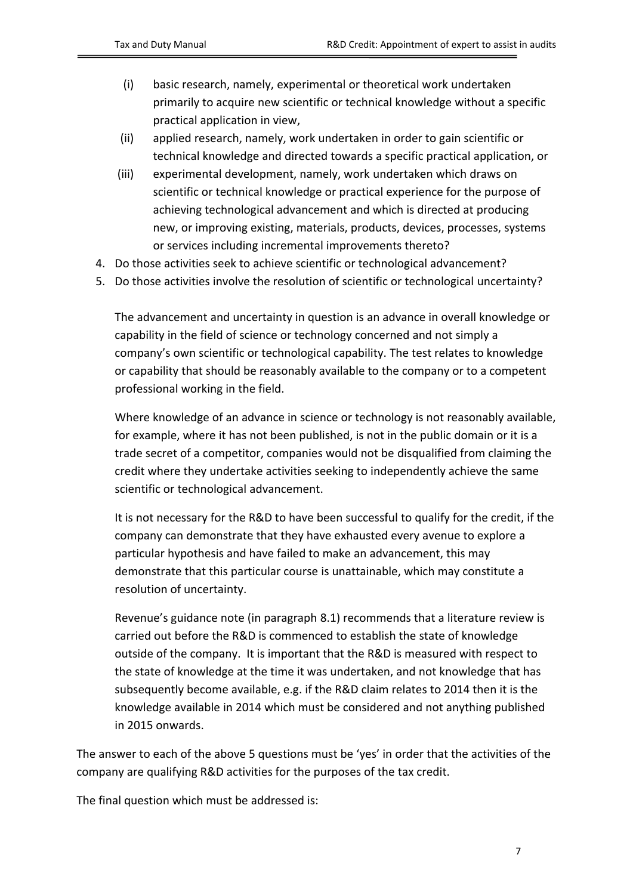- (i) basic research, namely, experimental or theoretical work undertaken primarily to acquire new scientific or technical knowledge without a specific practical application in view,
- (ii) applied research, namely, work undertaken in order to gain scientific or technical knowledge and directed towards a specific practical application, or
- (iii) experimental development, namely, work undertaken which draws on scientific or technical knowledge or practical experience for the purpose of achieving technological advancement and which is directed at producing new, or improving existing, materials, products, devices, processes, systems or services including incremental improvements thereto?
- 4. Do those activities seek to achieve scientific or technological advancement?
- 5. Do those activities involve the resolution of scientific or technological uncertainty?

The advancement and uncertainty in question is an advance in overall knowledge or capability in the field of science or technology concerned and not simply a company's own scientific or technological capability. The test relates to knowledge or capability that should be reasonably available to the company or to a competent professional working in the field.

Where knowledge of an advance in science or technology is not reasonably available, for example, where it has not been published, is not in the public domain or it is a trade secret of a competitor, companies would not be disqualified from claiming the credit where they undertake activities seeking to independently achieve the same scientific or technological advancement.

It is not necessary for the R&D to have been successful to qualify for the credit, if the company can demonstrate that they have exhausted every avenue to explore a particular hypothesis and have failed to make an advancement, this may demonstrate that this particular course is unattainable, which may constitute a resolution of uncertainty.

Revenue's guidance note (in paragraph 8.1) recommends that a literature review is carried out before the R&D is commenced to establish the state of knowledge outside of the company. It is important that the R&D is measured with respect to the state of knowledge at the time it was undertaken, and not knowledge that has subsequently become available, e.g. if the R&D claim relates to 2014 then it is the knowledge available in 2014 which must be considered and not anything published in 2015 onwards.

The answer to each of the above 5 questions must be 'yes' in order that the activities of the company are qualifying R&D activities for the purposes of the tax credit.

The final question which must be addressed is: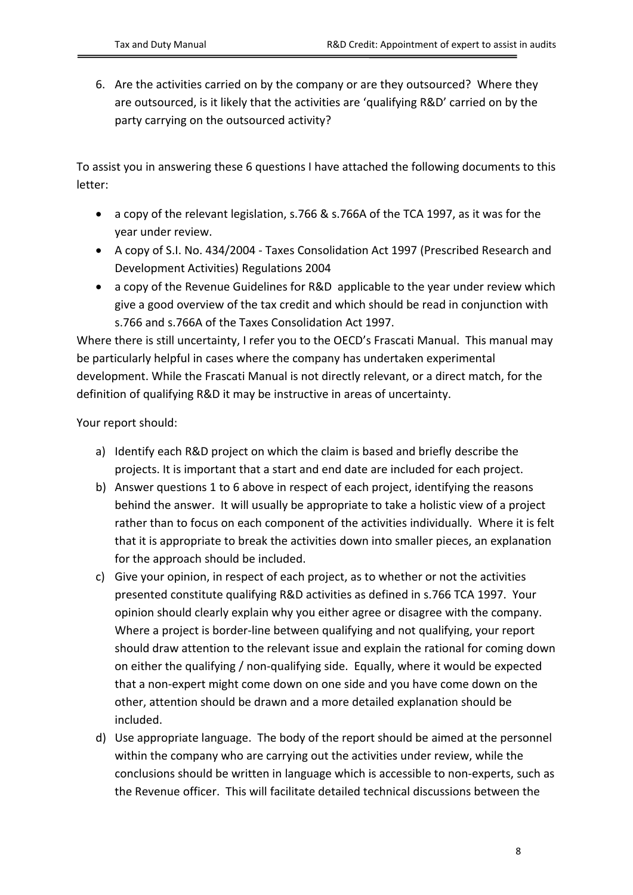6. Are the activities carried on by the company or are they outsourced? Where they are outsourced, is it likely that the activities are 'qualifying R&D' carried on by the party carrying on the outsourced activity?

To assist you in answering these 6 questions I have attached the following documents to this letter:

- a copy of the relevant legislation, s.766 & s.766A of the TCA 1997, as it was for the year under review.
- A copy of S.I. No. 434/2004 Taxes Consolidation Act 1997 (Prescribed Research and Development Activities) Regulations 2004
- a copy of the Revenue Guidelines for R&D applicable to the year under review which give a good overview of the tax credit and which should be read in conjunction with s.766 and s.766A of the Taxes Consolidation Act 1997.

Where there is still uncertainty, I refer you to the OECD's Frascati Manual. This manual may be particularly helpful in cases where the company has undertaken experimental development. While the Frascati Manual is not directly relevant, or a direct match, for the definition of qualifying R&D it may be instructive in areas of uncertainty.

Your report should:

- a) Identify each R&D project on which the claim is based and briefly describe the projects. It is important that a start and end date are included for each project.
- b) Answer questions 1 to 6 above in respect of each project, identifying the reasons behind the answer. It will usually be appropriate to take a holistic view of a project rather than to focus on each component of the activities individually. Where it is felt that it is appropriate to break the activities down into smaller pieces, an explanation for the approach should be included.
- c) Give your opinion, in respect of each project, as to whether or not the activities presented constitute qualifying R&D activities as defined in s.766 TCA 1997. Your opinion should clearly explain why you either agree or disagree with the company. Where a project is border-line between qualifying and not qualifying, your report should draw attention to the relevant issue and explain the rational for coming down on either the qualifying / non-qualifying side. Equally, where it would be expected that a non-expert might come down on one side and you have come down on the other, attention should be drawn and a more detailed explanation should be included.
- d) Use appropriate language. The body of the report should be aimed at the personnel within the company who are carrying out the activities under review, while the conclusions should be written in language which is accessible to non-experts, such as the Revenue officer. This will facilitate detailed technical discussions between the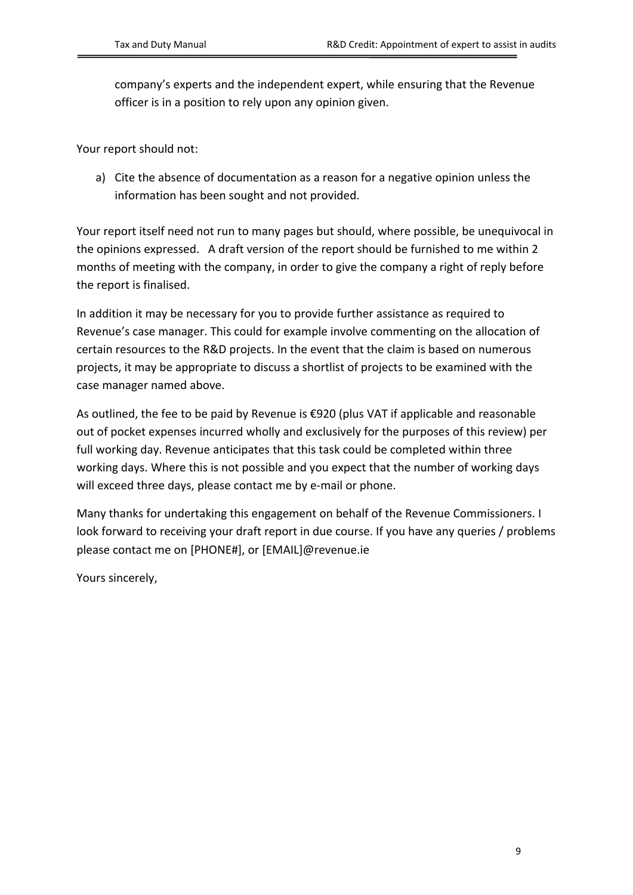company's experts and the independent expert, while ensuring that the Revenue officer is in a position to rely upon any opinion given.

Your report should not:

a) Cite the absence of documentation as a reason for a negative opinion unless the information has been sought and not provided.

Your report itself need not run to many pages but should, where possible, be unequivocal in the opinions expressed. A draft version of the report should be furnished to me within 2 months of meeting with the company, in order to give the company a right of reply before the report is finalised.

In addition it may be necessary for you to provide further assistance as required to Revenue's case manager. This could for example involve commenting on the allocation of certain resources to the R&D projects. In the event that the claim is based on numerous projects, it may be appropriate to discuss a shortlist of projects to be examined with the case manager named above.

As outlined, the fee to be paid by Revenue is €920 (plus VAT if applicable and reasonable out of pocket expenses incurred wholly and exclusively for the purposes of this review) per full working day. Revenue anticipates that this task could be completed within three working days. Where this is not possible and you expect that the number of working days will exceed three days, please contact me by e-mail or phone.

Many thanks for undertaking this engagement on behalf of the Revenue Commissioners. I look forward to receiving your draft report in due course. If you have any queries / problems please contact me on [PHONE#], or [EMAIL]@revenue.ie

Yours sincerely,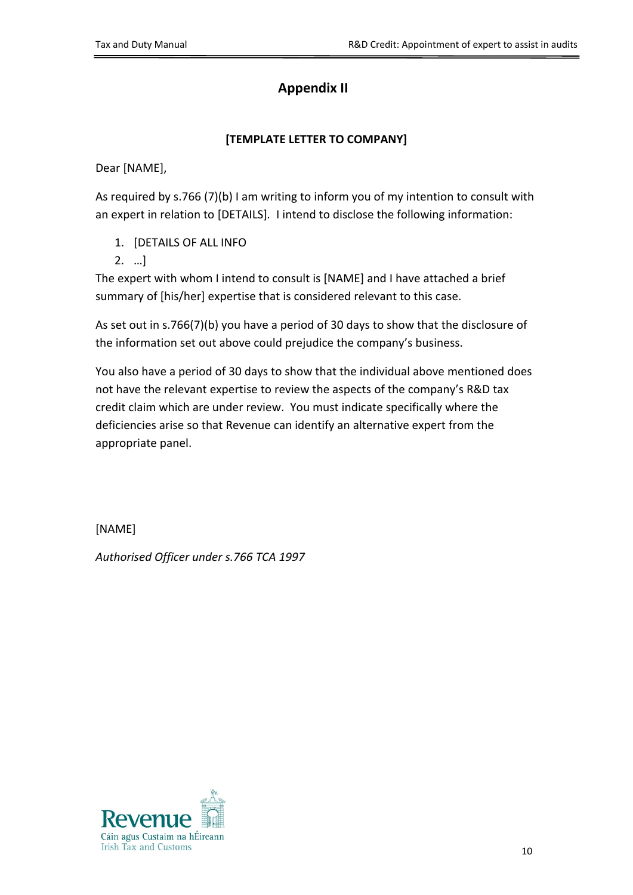# **Appendix II**

#### **[TEMPLATE LETTER TO COMPANY]**

Dear [NAME],

As required by s.766 (7)(b) I am writing to inform you of my intention to consult with an expert in relation to [DETAILS]*.* I intend to disclose the following information:

- 1. [DETAILS OF ALL INFO
- 2. …]

The expert with whom I intend to consult is [NAME] and I have attached a brief summary of [his/her] expertise that is considered relevant to this case.

As set out in s.766(7)(b) you have a period of 30 days to show that the disclosure of the information set out above could prejudice the company's business.

You also have a period of 30 days to show that the individual above mentioned does not have the relevant expertise to review the aspects of the company's R&D tax credit claim which are under review. You must indicate specifically where the deficiencies arise so that Revenue can identify an alternative expert from the appropriate panel.

[NAME]

*Authorised Officer under s.766 TCA 1997*

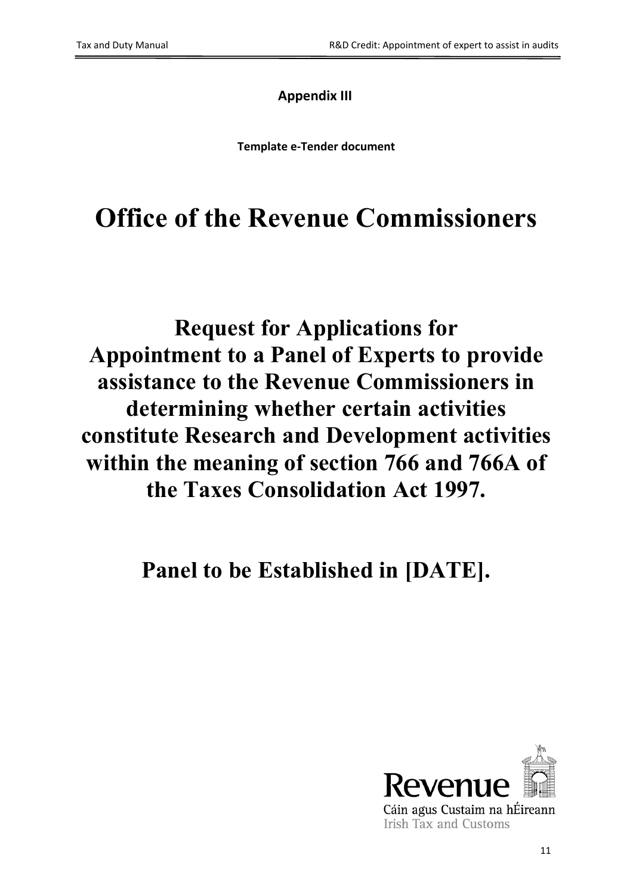# **Appendix III**

**Template e-Tender document**

# **Office of the Revenue Commissioners**

# **Request for Applications for Appointment to a Panel of Experts to provide assistance to the Revenue Commissioners in determining whether certain activities constitute Research and Development activities within the meaning of section 766 and 766A of the Taxes Consolidation Act 1997.**

**Panel to be Established in [DATE].**

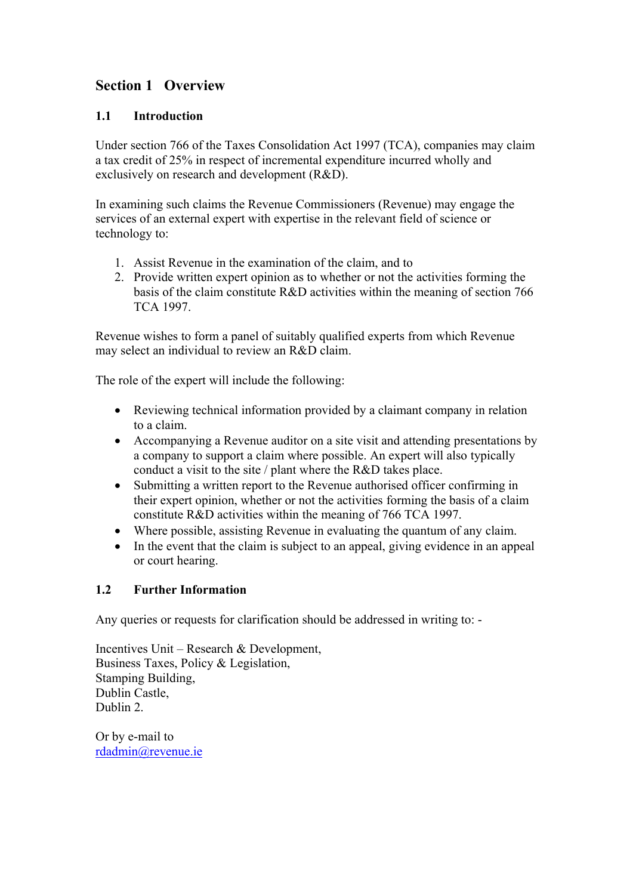## **Section 1 Overview**

#### **1.1 Introduction**

Under section 766 of the Taxes Consolidation Act 1997 (TCA), companies may claim a tax credit of 25% in respect of incremental expenditure incurred wholly and exclusively on research and development (R&D).

In examining such claims the Revenue Commissioners (Revenue) may engage the services of an external expert with expertise in the relevant field of science or technology to:

- 1. Assist Revenue in the examination of the claim, and to
- 2. Provide written expert opinion as to whether or not the activities forming the basis of the claim constitute R&D activities within the meaning of section 766 TCA 1997.

Revenue wishes to form a panel of suitably qualified experts from which Revenue may select an individual to review an R&D claim.

The role of the expert will include the following:

- Reviewing technical information provided by a claimant company in relation to a claim.
- Accompanying a Revenue auditor on a site visit and attending presentations by a company to support a claim where possible. An expert will also typically conduct a visit to the site / plant where the R&D takes place.
- Submitting a written report to the Revenue authorised officer confirming in their expert opinion, whether or not the activities forming the basis of a claim constitute R&D activities within the meaning of 766 TCA 1997.
- Where possible, assisting Revenue in evaluating the quantum of any claim.
- In the event that the claim is subject to an appeal, giving evidence in an appeal or court hearing.

#### **1.2 Further Information**

Any queries or requests for clarification should be addressed in writing to: -

Incentives Unit – Research & Development, Business Taxes, Policy & Legislation, Stamping Building, Dublin Castle, Dublin 2.

Or by e-mail to [rdadmin@revenue.ie](mailto:rdadmin@revenue.ie)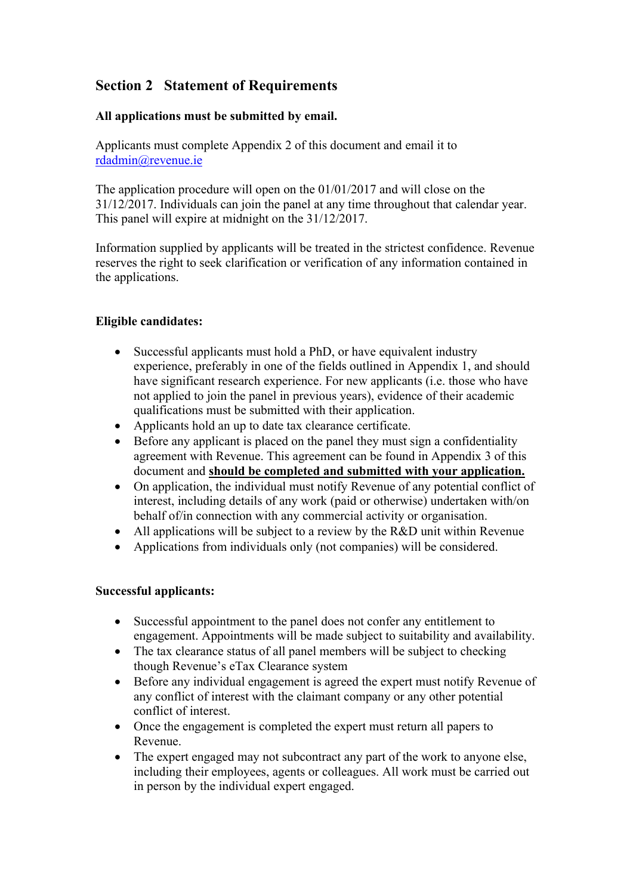## **Section 2 Statement of Requirements**

#### **All applications must be submitted by email.**

Applicants must complete Appendix 2 of this document and email it to [rdadmin@revenue.ie](mailto:rdadmin@revenue.ie)

The application procedure will open on the 01/01/2017 and will close on the 31/12/2017. Individuals can join the panel at any time throughout that calendar year. This panel will expire at midnight on the 31/12/2017.

Information supplied by applicants will be treated in the strictest confidence. Revenue reserves the right to seek clarification or verification of any information contained in the applications.

#### **Eligible candidates:**

- Successful applicants must hold a PhD, or have equivalent industry experience, preferably in one of the fields outlined in Appendix 1, and should have significant research experience. For new applicants (i.e. those who have not applied to join the panel in previous years), evidence of their academic qualifications must be submitted with their application.
- Applicants hold an up to date tax clearance certificate.
- Before any applicant is placed on the panel they must sign a confidentiality agreement with Revenue. This agreement can be found in Appendix 3 of this document and **should be completed and submitted with your application.**
- On application, the individual must notify Revenue of any potential conflict of interest, including details of any work (paid or otherwise) undertaken with/on behalf of/in connection with any commercial activity or organisation.
- All applications will be subject to a review by the R&D unit within Revenue
- Applications from individuals only (not companies) will be considered.

#### **Successful applicants:**

- Successful appointment to the panel does not confer any entitlement to engagement. Appointments will be made subject to suitability and availability.
- The tax clearance status of all panel members will be subject to checking though Revenue's eTax Clearance system
- Before any individual engagement is agreed the expert must notify Revenue of any conflict of interest with the claimant company or any other potential conflict of interest.
- Once the engagement is completed the expert must return all papers to Revenue.
- The expert engaged may not subcontract any part of the work to anyone else, including their employees, agents or colleagues. All work must be carried out in person by the individual expert engaged.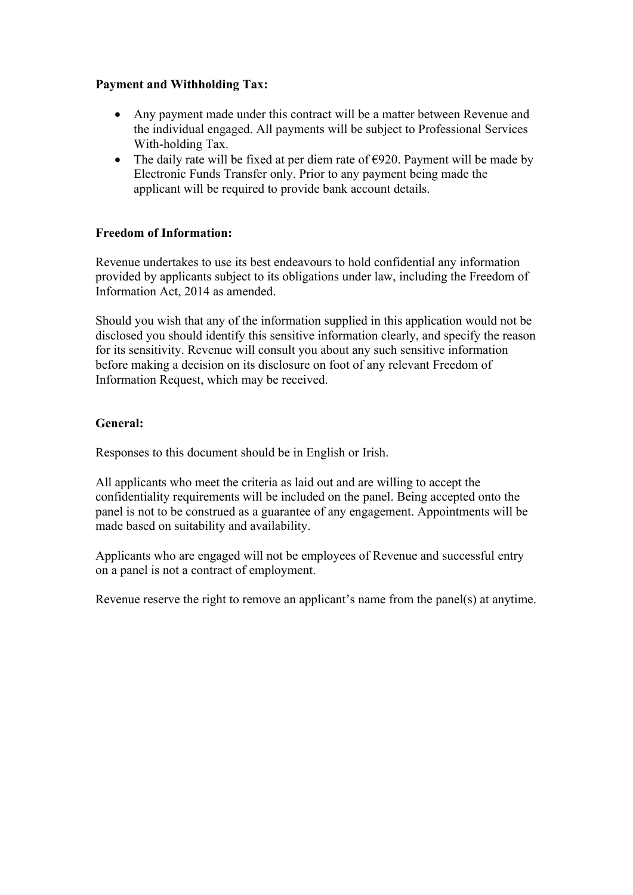#### **Payment and Withholding Tax:**

- Any payment made under this contract will be a matter between Revenue and the individual engaged. All payments will be subject to Professional Services With-holding Tax.
- The daily rate will be fixed at per diem rate of  $\epsilon$ 920. Payment will be made by Electronic Funds Transfer only. Prior to any payment being made the applicant will be required to provide bank account details.

#### **Freedom of Information:**

Revenue undertakes to use its best endeavours to hold confidential any information provided by applicants subject to its obligations under law, including the Freedom of Information Act, 2014 as amended.

Should you wish that any of the information supplied in this application would not be disclosed you should identify this sensitive information clearly, and specify the reason for its sensitivity. Revenue will consult you about any such sensitive information before making a decision on its disclosure on foot of any relevant Freedom of Information Request, which may be received.

#### **General:**

Responses to this document should be in English or Irish.

All applicants who meet the criteria as laid out and are willing to accept the confidentiality requirements will be included on the panel. Being accepted onto the panel is not to be construed as a guarantee of any engagement. Appointments will be made based on suitability and availability.

Applicants who are engaged will not be employees of Revenue and successful entry on a panel is not a contract of employment.

Revenue reserve the right to remove an applicant's name from the panel(s) at anytime.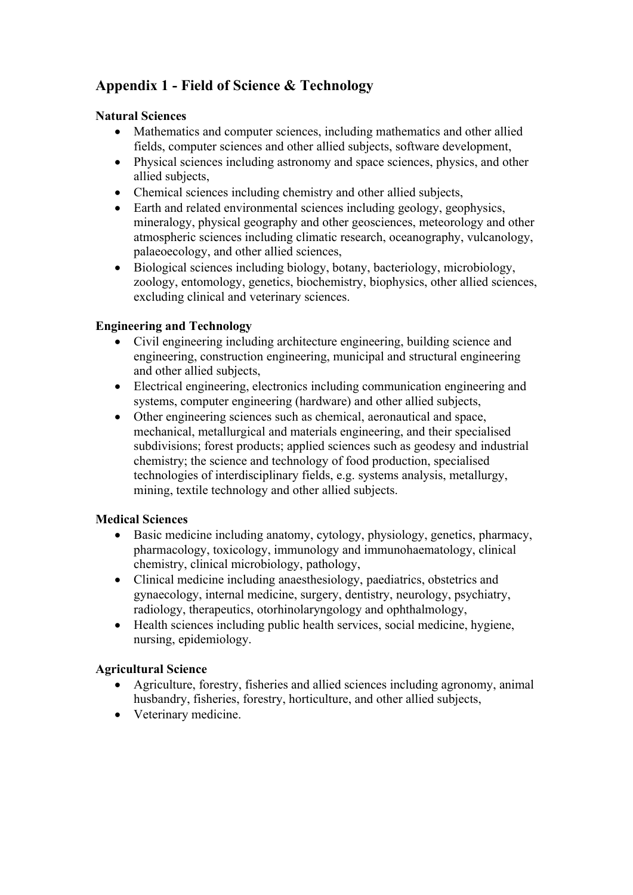## **Appendix 1 - Field of Science & Technology**

#### **Natural Sciences**

- Mathematics and computer sciences, including mathematics and other allied fields, computer sciences and other allied subjects, software development,
- Physical sciences including astronomy and space sciences, physics, and other allied subjects,
- Chemical sciences including chemistry and other allied subjects,
- Earth and related environmental sciences including geology, geophysics, mineralogy, physical geography and other geosciences, meteorology and other atmospheric sciences including climatic research, oceanography, vulcanology, palaeoecology, and other allied sciences,
- Biological sciences including biology, botany, bacteriology, microbiology, zoology, entomology, genetics, biochemistry, biophysics, other allied sciences, excluding clinical and veterinary sciences.

#### **Engineering and Technology**

- Civil engineering including architecture engineering, building science and engineering, construction engineering, municipal and structural engineering and other allied subjects,
- Electrical engineering, electronics including communication engineering and systems, computer engineering (hardware) and other allied subjects,
- Other engineering sciences such as chemical, aeronautical and space, mechanical, metallurgical and materials engineering, and their specialised subdivisions; forest products; applied sciences such as geodesy and industrial chemistry; the science and technology of food production, specialised technologies of interdisciplinary fields, e.g. systems analysis, metallurgy, mining, textile technology and other allied subjects.

#### **Medical Sciences**

- Basic medicine including anatomy, cytology, physiology, genetics, pharmacy, pharmacology, toxicology, immunology and immunohaematology, clinical chemistry, clinical microbiology, pathology,
- Clinical medicine including anaesthesiology, paediatrics, obstetrics and gynaecology, internal medicine, surgery, dentistry, neurology, psychiatry, radiology, therapeutics, otorhinolaryngology and ophthalmology,
- Health sciences including public health services, social medicine, hygiene, nursing, epidemiology.

#### **Agricultural Science**

- Agriculture, forestry, fisheries and allied sciences including agronomy, animal husbandry, fisheries, forestry, horticulture, and other allied subjects,
- Veterinary medicine.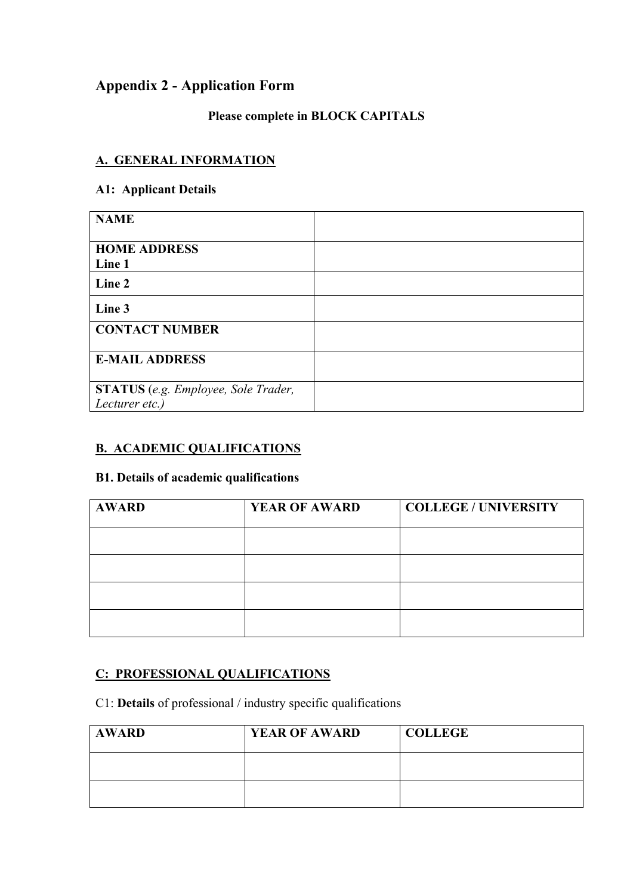## **Appendix 2 - Application Form**

# **Please complete in BLOCK CAPITALS**

#### **A. GENERAL INFORMATION**

#### **A1: Applicant Details**

| <b>NAME</b>                                                  |  |
|--------------------------------------------------------------|--|
| <b>HOME ADDRESS</b><br>Line 1                                |  |
| Line 2                                                       |  |
| Line 3                                                       |  |
| <b>CONTACT NUMBER</b>                                        |  |
| <b>E-MAIL ADDRESS</b>                                        |  |
| <b>STATUS</b> (e.g. Employee, Sole Trader,<br>Lecturer etc.) |  |

#### **B. ACADEMIC QUALIFICATIONS**

#### **B1. Details of academic qualifications**

| <b>AWARD</b> | <b>YEAR OF AWARD</b> | <b>COLLEGE / UNIVERSITY</b> |
|--------------|----------------------|-----------------------------|
|              |                      |                             |
|              |                      |                             |
|              |                      |                             |
|              |                      |                             |

## **C: PROFESSIONAL QUALIFICATIONS**

C1: **Details** of professional / industry specific qualifications

| <b>AWARD</b> | <b>YEAR OF AWARD</b> | <b>COLLEGE</b> |
|--------------|----------------------|----------------|
|              |                      |                |
|              |                      |                |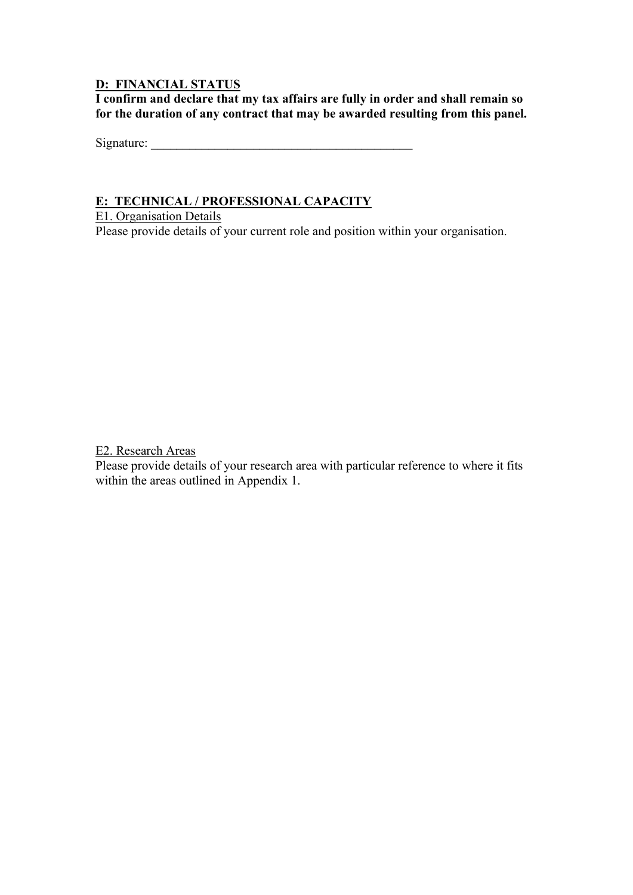#### **D: FINANCIAL STATUS**

**I confirm and declare that my tax affairs are fully in order and shall remain so for the duration of any contract that may be awarded resulting from this panel.**

Signature: \_\_\_\_\_\_\_\_\_\_\_\_\_\_\_\_\_\_\_\_\_\_\_\_\_\_\_\_\_\_\_\_\_\_\_\_\_\_\_\_\_

#### **E: TECHNICAL / PROFESSIONAL CAPACITY**

E1. Organisation Details

Please provide details of your current role and position within your organisation.

E2. Research Areas

Please provide details of your research area with particular reference to where it fits within the areas outlined in Appendix 1.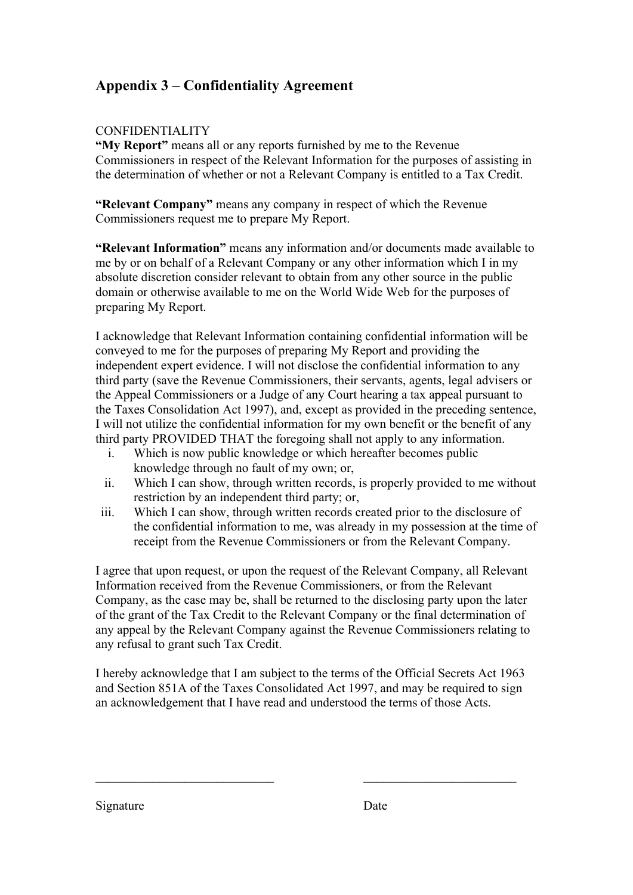## **Appendix 3 – Confidentiality Agreement**

#### CONFIDENTIALITY

**"My Report"** means all or any reports furnished by me to the Revenue Commissioners in respect of the Relevant Information for the purposes of assisting in the determination of whether or not a Relevant Company is entitled to a Tax Credit.

**"Relevant Company"** means any company in respect of which the Revenue Commissioners request me to prepare My Report.

**"Relevant Information"** means any information and/or documents made available to me by or on behalf of a Relevant Company or any other information which I in my absolute discretion consider relevant to obtain from any other source in the public domain or otherwise available to me on the World Wide Web for the purposes of preparing My Report.

I acknowledge that Relevant Information containing confidential information will be conveyed to me for the purposes of preparing My Report and providing the independent expert evidence. I will not disclose the confidential information to any third party (save the Revenue Commissioners, their servants, agents, legal advisers or the Appeal Commissioners or a Judge of any Court hearing a tax appeal pursuant to the Taxes Consolidation Act 1997), and, except as provided in the preceding sentence, I will not utilize the confidential information for my own benefit or the benefit of any third party PROVIDED THAT the foregoing shall not apply to any information.

- i. Which is now public knowledge or which hereafter becomes public knowledge through no fault of my own; or,
- ii. Which I can show, through written records, is properly provided to me without restriction by an independent third party; or,
- iii. Which I can show, through written records created prior to the disclosure of the confidential information to me, was already in my possession at the time of receipt from the Revenue Commissioners or from the Relevant Company.

I agree that upon request, or upon the request of the Relevant Company, all Relevant Information received from the Revenue Commissioners, or from the Relevant Company, as the case may be, shall be returned to the disclosing party upon the later of the grant of the Tax Credit to the Relevant Company or the final determination of any appeal by the Relevant Company against the Revenue Commissioners relating to any refusal to grant such Tax Credit.

I hereby acknowledge that I am subject to the terms of the Official Secrets Act 1963 and Section 851A of the Taxes Consolidated Act 1997, and may be required to sign an acknowledgement that I have read and understood the terms of those Acts.

 $\_$  , and the set of the set of the set of the set of the set of the set of the set of the set of the set of the set of the set of the set of the set of the set of the set of the set of the set of the set of the set of th

Signature Date